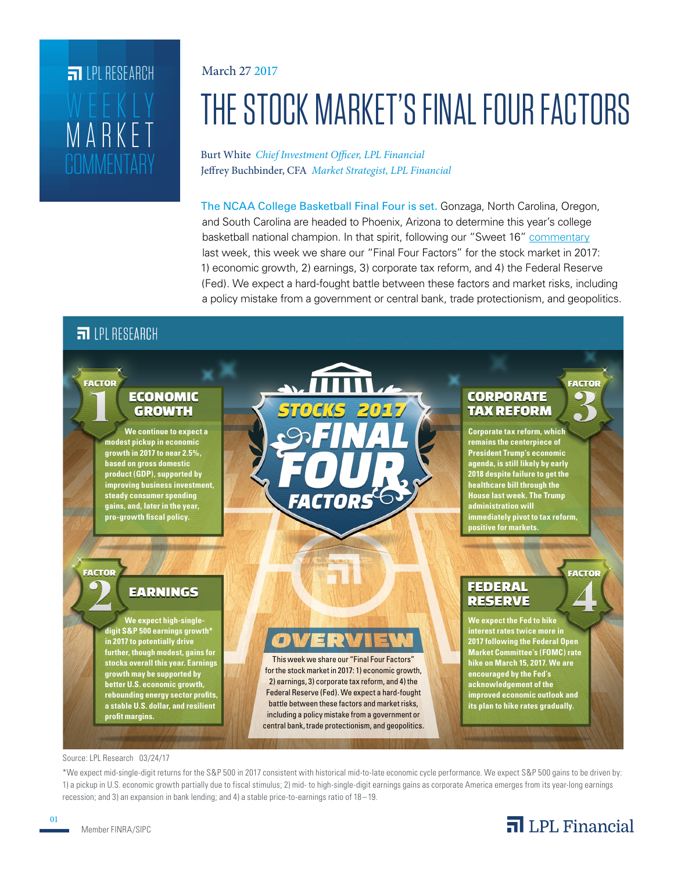# **COMMENTARY** MARKET WEEKLY **FILPI RESEARCH**

#### March 27 2017

# THE STOCK MARKET'S FINAL FOUR FACTORS

Burt White *Chief Investment Officer, LPL Financial* Jeffrey Buchbinder, CFA *Market Strategist, LPL Financial*

The NCAA College Basketball Final Four is set. Gonzaga, North Carolina, Oregon, and South Carolina are headed to Phoenix, Arizona to determine this year's college basketball national champion. In that spirit, following our "Sweet 16" [commentary](http://lpl-research.com/~rss/LPL_RSS_Feeds_Publications/WMC/Weekly_Market_Commentary_03202017.pdf) last week, this week we share our "Final Four Factors" for the stock market in 2017: 1) economic growth, 2) earnings, 3) corporate tax reform, and 4) the Federal Reserve (Fed). We expect a hard-fought battle between these factors and market risks, including a policy mistake from a government or central bank, trade protectionism, and geopolitics.

### $\overline{51}$  IPI RESEARCH



#### Source: LPL Research 03/24/17

\*We expect mid-single-digit returns for the S&P 500 in 2017 consistent with historical mid-to-late economic cycle performance. We expect S&P 500 gains to be driven by: 1) a pickup in U.S. economic growth partially due to fiscal stimulus; 2) mid- to high-single-digit earnings gains as corporate America emerges from its year-long earnings recession; and 3) an expansion in bank lending; and 4) a stable price-to-earnings ratio of 18 –19.

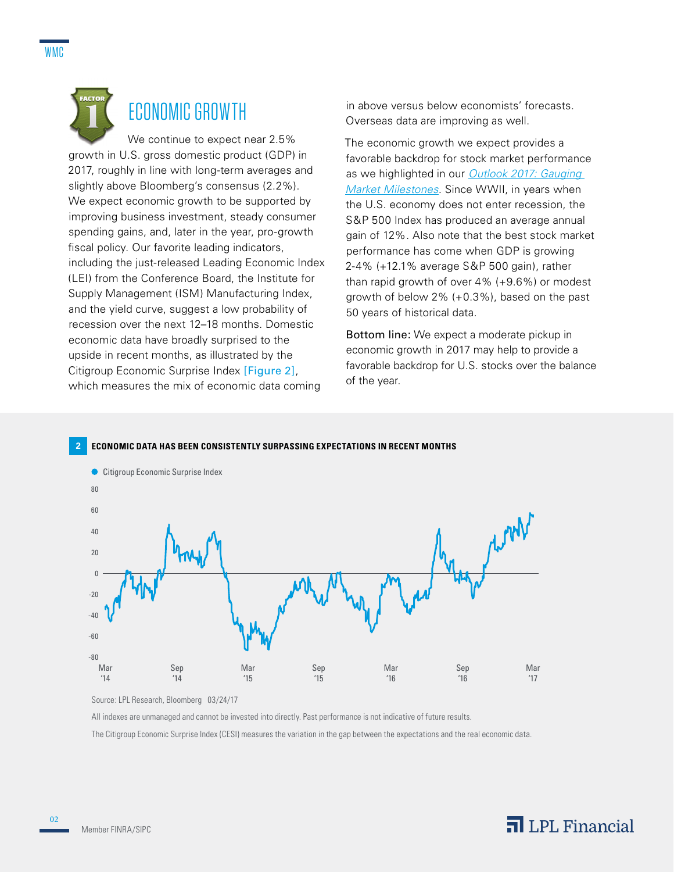

## ECONOMIC GROWTH

We continue to expect near 2.5% growth in U.S. gross domestic product (GDP) in 2017, roughly in line with long-term averages and slightly above Bloomberg's consensus (2.2%). We expect economic growth to be supported by improving business investment, steady consumer spending gains, and, later in the year, pro-growth fiscal policy. Our favorite leading indicators, including the just-released Leading Economic Index (LEI) from the Conference Board, the Institute for Supply Management (ISM) Manufacturing Index, and the yield curve, suggest a low probability of recession over the next 12–18 months. Domestic economic data have broadly surprised to the upside in recent months, as illustrated by the Citigroup Economic Surprise Index [Figure 2], which measures the mix of economic data coming

in above versus below economists' forecasts. Overseas data are improving as well.

The economic growth we expect provides a favorable backdrop for stock market performance as we highlighted in our *[Outlook 2017: Gauging](http://lpl-research.com/outlook/Outlook_2017_Spread.pdf)  [Market Milestones](http://lpl-research.com/outlook/Outlook_2017_Spread.pdf)*. Since WWII, in years when the U.S. economy does not enter recession, the S&P 500 Index has produced an average annual gain of 12%. Also note that the best stock market performance has come when GDP is growing 2-4% (+12.1% average S&P 500 gain), rather than rapid growth of over 4% (+9.6%) or modest growth of below 2% (+0.3%), based on the past 50 years of historical data.

Bottom line: We expect a moderate pickup in economic growth in 2017 may help to provide a favorable backdrop for U.S. stocks over the balance of the year.

#### **2 ECONOMIC DATA HAS BEEN CONSISTENTLY SURPASSING EXPECTATIONS IN RECENT MONTHS**



Source: LPL Research, Bloomberg 03/24/17

All indexes are unmanaged and cannot be invested into directly. Past performance is not indicative of future results.

The Citigroup Economic Surprise Index (CESI) measures the variation in the gap between the expectations and the real economic data.

02

### $\overline{\mathbf{a}}$  LPL Financial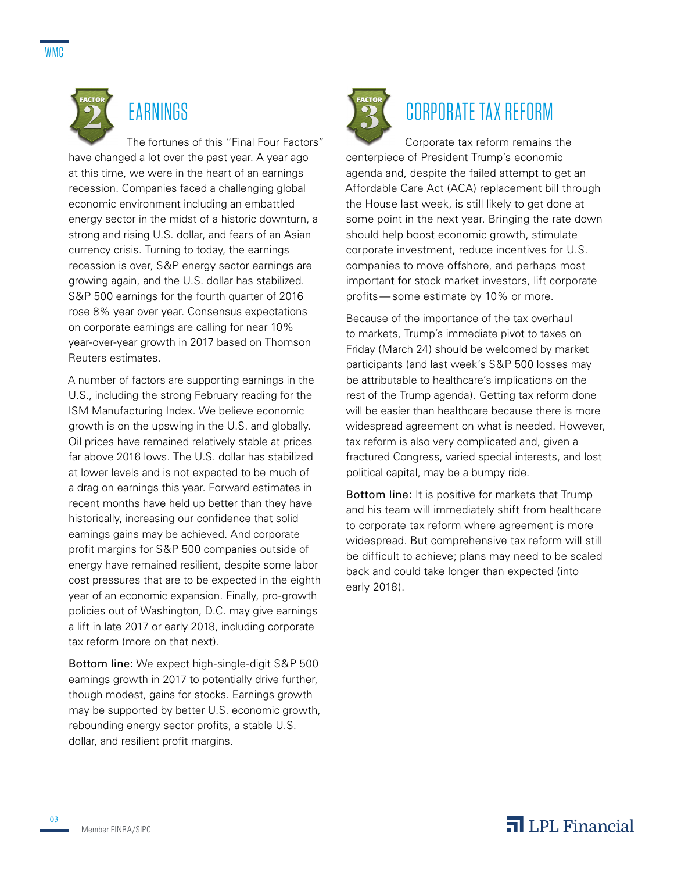

# **EARNINGS**

The fortunes of this "Final Four Factors" have changed a lot over the past year. A year ago at this time, we were in the heart of an earnings recession. Companies faced a challenging global economic environment including an embattled energy sector in the midst of a historic downturn, a strong and rising U.S. dollar, and fears of an Asian currency crisis. Turning to today, the earnings recession is over, S&P energy sector earnings are growing again, and the U.S. dollar has stabilized. S&P 500 earnings for the fourth quarter of 2016 rose 8% year over year. Consensus expectations on corporate earnings are calling for near 10% year-over-year growth in 2017 based on Thomson Reuters estimates.

A number of factors are supporting earnings in the U.S., including the strong February reading for the ISM Manufacturing Index. We believe economic growth is on the upswing in the U.S. and globally. Oil prices have remained relatively stable at prices far above 2016 lows. The U.S. dollar has stabilized at lower levels and is not expected to be much of a drag on earnings this year. Forward estimates in recent months have held up better than they have historically, increasing our confidence that solid earnings gains may be achieved. And corporate profit margins for S&P 500 companies outside of energy have remained resilient, despite some labor cost pressures that are to be expected in the eighth year of an economic expansion. Finally, pro-growth policies out of Washington, D.C. may give earnings a lift in late 2017 or early 2018, including corporate tax reform (more on that next).

Bottom line: We expect high-single-digit S&P 500 earnings growth in 2017 to potentially drive further, though modest, gains for stocks. Earnings growth may be supported by better U.S. economic growth, rebounding energy sector profits, a stable U.S. dollar, and resilient profit margins.



# CORPORATE TAX REFORM

Corporate tax reform remains the centerpiece of President Trump's economic agenda and, despite the failed attempt to get an Affordable Care Act (ACA) replacement bill through the House last week, is still likely to get done at some point in the next year. Bringing the rate down should help boost economic growth, stimulate corporate investment, reduce incentives for U.S. companies to move offshore, and perhaps most important for stock market investors, lift corporate profits—some estimate by 10% or more.

Because of the importance of the tax overhaul to markets, Trump's immediate pivot to taxes on Friday (March 24) should be welcomed by market participants (and last week's S&P 500 losses may be attributable to healthcare's implications on the rest of the Trump agenda). Getting tax reform done will be easier than healthcare because there is more widespread agreement on what is needed. However, tax reform is also very complicated and, given a fractured Congress, varied special interests, and lost political capital, may be a bumpy ride.

Bottom line: It is positive for markets that Trump and his team will immediately shift from healthcare to corporate tax reform where agreement is more widespread. But comprehensive tax reform will still be difficult to achieve; plans may need to be scaled back and could take longer than expected (into early 2018).

03

### $\overline{\mathbf{a}}$  LPL Financial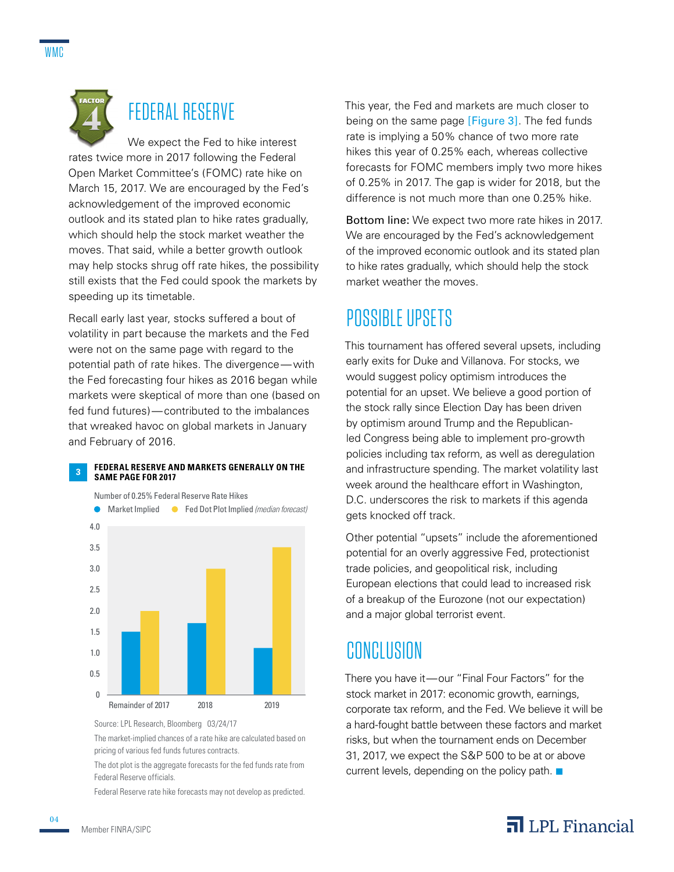

# FEDERAL RESERVE

We expect the Fed to hike interest rates twice more in 2017 following the Federal Open Market Committee's (FOMC) rate hike on March 15, 2017. We are encouraged by the Fed's acknowledgement of the improved economic outlook and its stated plan to hike rates gradually, which should help the stock market weather the moves. That said, while a better growth outlook may help stocks shrug off rate hikes, the possibility still exists that the Fed could spook the markets by speeding up its timetable.

Recall early last year, stocks suffered a bout of volatility in part because the markets and the Fed were not on the same page with regard to the potential path of rate hikes. The divergence—with the Fed forecasting four hikes as 2016 began while markets were skeptical of more than one (based on fed fund futures)—contributed to the imbalances that wreaked havoc on global markets in January and February of 2016.

#### **3 FEDERAL RESERVE AND MARKETS GENERALLY ON THE SAME PAGE FOR 2017**



Source: LPL Research, Bloomberg 03/24/17

The market-implied chances of a rate hike are calculated based on pricing of various fed funds futures contracts.

The dot plot is the aggregate forecasts for the fed funds rate from Federal Reserve officials.

Federal Reserve rate hike forecasts may not develop as predicted.

This year, the Fed and markets are much closer to being on the same page [Figure 3]. The fed funds rate is implying a 50% chance of two more rate hikes this year of 0.25% each, whereas collective forecasts for FOMC members imply two more hikes of 0.25% in 2017. The gap is wider for 2018, but the difference is not much more than one 0.25% hike.

Bottom line: We expect two more rate hikes in 2017. We are encouraged by the Fed's acknowledgement of the improved economic outlook and its stated plan to hike rates gradually, which should help the stock market weather the moves.

### POSSIBLE UPSETS

This tournament has offered several upsets, including early exits for Duke and Villanova. For stocks, we would suggest policy optimism introduces the potential for an upset. We believe a good portion of the stock rally since Election Day has been driven by optimism around Trump and the Republicanled Congress being able to implement pro-growth policies including tax reform, as well as deregulation and infrastructure spending. The market volatility last week around the healthcare effort in Washington, D.C. underscores the risk to markets if this agenda gets knocked off track.

Other potential "upsets" include the aforementioned potential for an overly aggressive Fed, protectionist trade policies, and geopolitical risk, including European elections that could lead to increased risk of a breakup of the Eurozone (not our expectation) and a major global terrorist event.

### **CONCLUSION**

There you have it—our "Final Four Factors" for the stock market in 2017: economic growth, earnings, corporate tax reform, and the Fed. We believe it will be a hard-fought battle between these factors and market risks, but when the tournament ends on December 31, 2017, we expect the S&P 500 to be at or above current levels, depending on the policy path.  $\blacksquare$